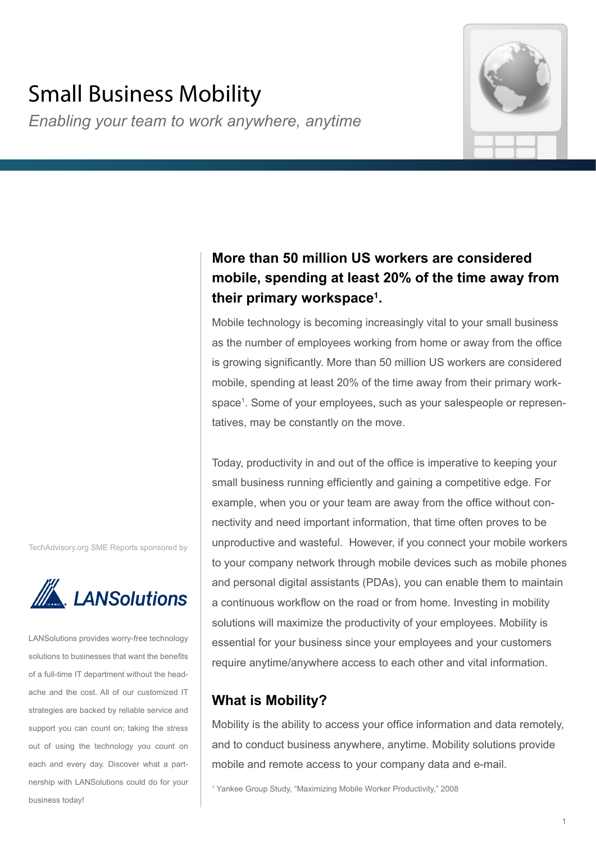# Small Business Mobility

*Enabling your team to work anywhere, anytime*



# **More than 50 million US workers are considered mobile, spending at least 20% of the time away from their primary workspace1 .**

Mobile technology is becoming increasingly vital to your small business as the number of employees working from home or away from the office is growing significantly. More than 50 million US workers are considered mobile, spending at least 20% of the time away from their primary workspace1 . Some of your employees, such as your salespeople or representatives, may be constantly on the move.

Today, productivity in and out of the office is imperative to keeping your small business running efficiently and gaining a competitive edge. For example, when you or your team are away from the office without connectivity and need important information, that time often proves to be unproductive and wasteful. However, if you connect your mobile workers to your company network through mobile devices such as mobile phones and personal digital assistants (PDAs), you can enable them to maintain a continuous workflow on the road or from home. Investing in mobility solutions will maximize the productivity of your employees. Mobility is essential for your business since your employees and your customers require anytime/anywhere access to each other and vital information.

# **What is Mobility?**

Mobility is the ability to access your office information and data remotely, and to conduct business anywhere, anytime. Mobility solutions provide mobile and remote access to your company data and e-mail.

1 Yankee Group Study, "Maximizing Mobile Worker Productivity," 2008

TechAdvisory.org SME Reports sponsored by



LANSolutions provides worry-free technology solutions to businesses that want the benefits of a full-time IT department without the headache and the cost. All of our customized IT strategies are backed by reliable service and support you can count on; taking the stress out of using the technology you count on each and every day. Discover what a partnership with LANSolutions could do for your business today!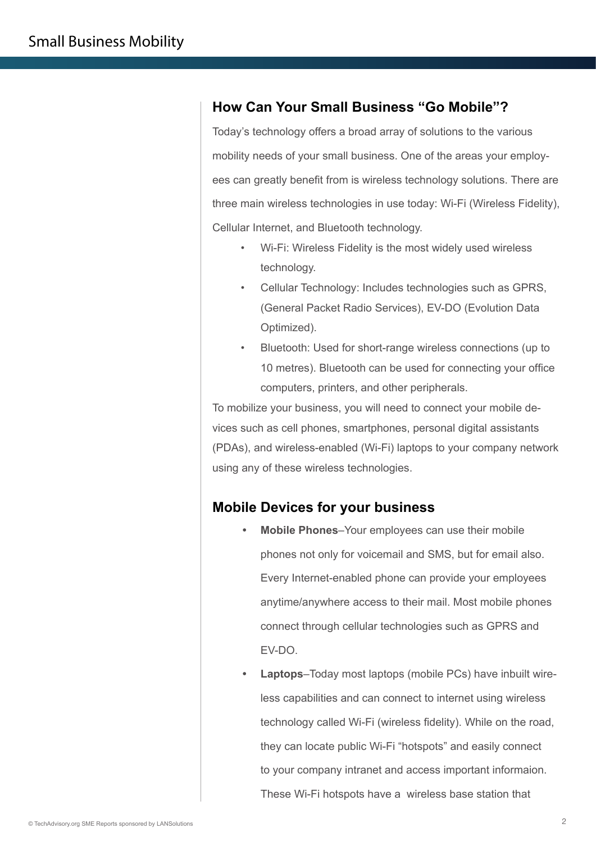### **How Can Your Small Business "Go Mobile"?**

Today's technology offers a broad array of solutions to the various mobility needs of your small business. One of the areas your employees can greatly benefit from is wireless technology solutions. There are three main wireless technologies in use today: Wi-Fi (Wireless Fidelity), Cellular Internet, and Bluetooth technology.

- Wi-Fi: Wireless Fidelity is the most widely used wireless technology.
- Cellular Technology: Includes technologies such as GPRS, (General Packet Radio Services), EV-DO (Evolution Data Optimized).
- Bluetooth: Used for short-range wireless connections (up to 10 metres). Bluetooth can be used for connecting your office computers, printers, and other peripherals.

To mobilize your business, you will need to connect your mobile devices such as cell phones, smartphones, personal digital assistants (PDAs), and wireless-enabled (Wi-Fi) laptops to your company network using any of these wireless technologies.

### **Mobile Devices for your business**

- **• Mobile Phones**–Your employees can use their mobile phones not only for voicemail and SMS, but for email also. Every Internet-enabled phone can provide your employees anytime/anywhere access to their mail. Most mobile phones connect through cellular technologies such as GPRS and EV-DO.
- **• Laptops**–Today most laptops (mobile PCs) have inbuilt wireless capabilities and can connect to internet using wireless technology called Wi-Fi (wireless fidelity). While on the road, they can locate public Wi-Fi "hotspots" and easily connect to your company intranet and access important informaion. These Wi-Fi hotspots have a wireless base station that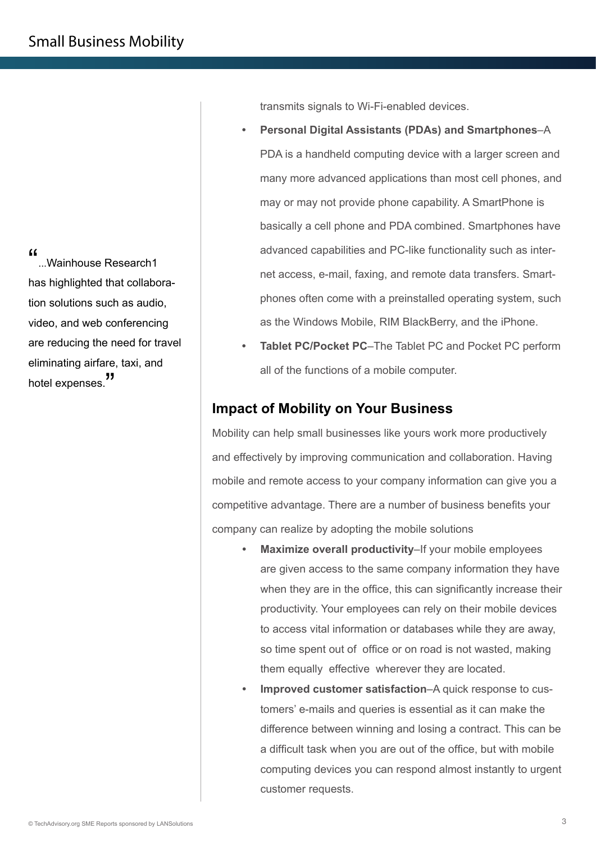"...Wainhouse Research1 has highlighted that collaboration solutions such as audio, video, and web conferencing are reducing the need for travel eliminating airfare, taxi, and hotel expenses.<sup>"</sup>

transmits signals to Wi-Fi-enabled devices.

- **• Personal Digital Assistants (PDAs) and Smartphones**–A PDA is a handheld computing device with a larger screen and many more advanced applications than most cell phones, and may or may not provide phone capability. A SmartPhone is basically a cell phone and PDA combined. Smartphones have advanced capabilities and PC-like functionality such as internet access, e-mail, faxing, and remote data transfers. Smartphones often come with a preinstalled operating system, such as the Windows Mobile, RIM BlackBerry, and the iPhone.
- **• Tablet PC/Pocket PC**–The Tablet PC and Pocket PC perform all of the functions of a mobile computer.

### **Impact of Mobility on Your Business**

Mobility can help small businesses like yours work more productively and effectively by improving communication and collaboration. Having mobile and remote access to your company information can give you a competitive advantage. There are a number of business benefits your company can realize by adopting the mobile solutions

- **• Maximize overall productivity**–If your mobile employees are given access to the same company information they have when they are in the office, this can significantly increase their productivity. Your employees can rely on their mobile devices to access vital information or databases while they are away, so time spent out of office or on road is not wasted, making them equally effective wherever they are located.
- **• Improved customer satisfaction**–A quick response to customers' e-mails and queries is essential as it can make the difference between winning and losing a contract. This can be a difficult task when you are out of the office, but with mobile computing devices you can respond almost instantly to urgent customer requests.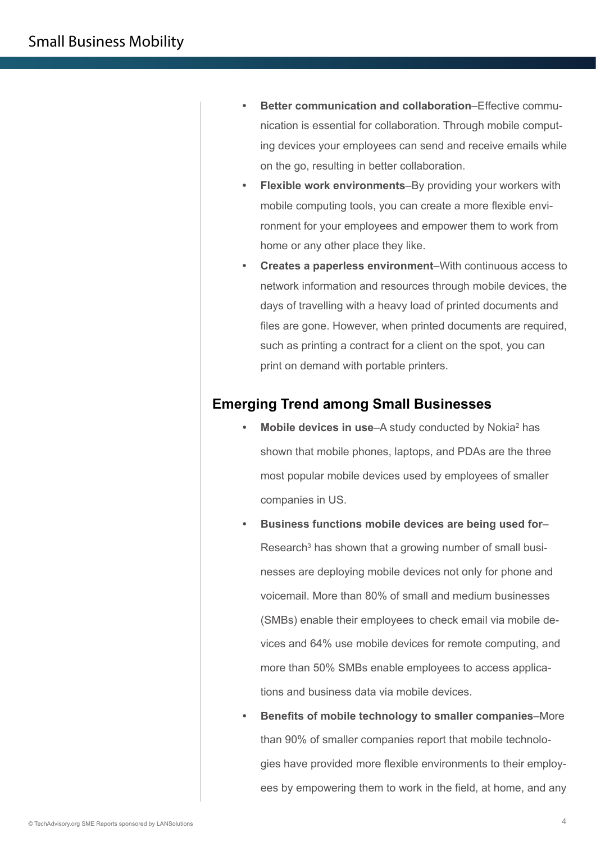- **• Better communication and collaboration**–Effective communication is essential for collaboration. Through mobile computing devices your employees can send and receive emails while on the go, resulting in better collaboration.
- **• Flexible work environments**–By providing your workers with mobile computing tools, you can create a more flexible environment for your employees and empower them to work from home or any other place they like.
- **• Creates a paperless environment**–With continuous access to network information and resources through mobile devices, the days of travelling with a heavy load of printed documents and files are gone. However, when printed documents are required, such as printing a contract for a client on the spot, you can print on demand with portable printers.

### **Emerging Trend among Small Businesses**

- Mobile devices in use–A study conducted by Nokia<sup>2</sup> has shown that mobile phones, laptops, and PDAs are the three most popular mobile devices used by employees of smaller companies in US.
- **• Business functions mobile devices are being used for** Research<sup>3</sup> has shown that a growing number of small businesses are deploying mobile devices not only for phone and voicemail. More than 80% of small and medium businesses (SMBs) enable their employees to check email via mobile devices and 64% use mobile devices for remote computing, and more than 50% SMBs enable employees to access applications and business data via mobile devices.
- **• Benefits of mobile technology to smaller companies**–More than 90% of smaller companies report that mobile technologies have provided more flexible environments to their employees by empowering them to work in the field, at home, and any